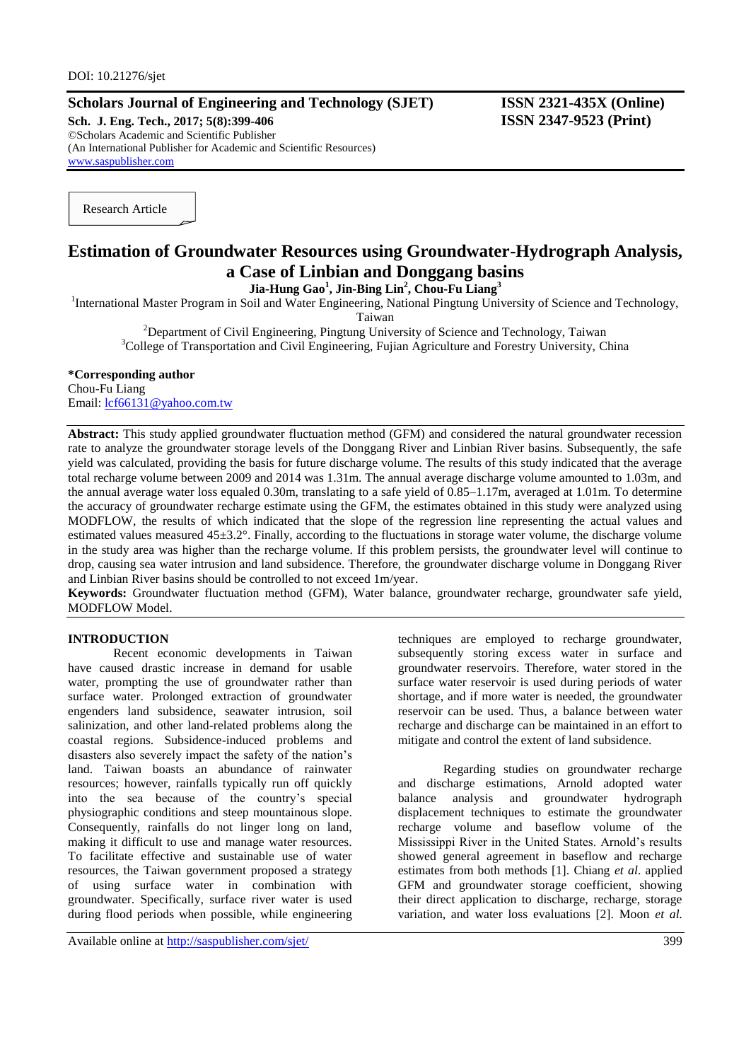## **Scholars Journal of Engineering and Technology (SJET) ISSN 2321-435X (Online)**

**Sch. J. Eng. Tech., 2017; 5(8):399-406 ISSN 2347-9523 (Print)** ©Scholars Academic and Scientific Publisher (An International Publisher for Academic and Scientific Resources) [www.saspublisher.com](http://www.saspublisher.com/)

Research Article

# **Estimation of Groundwater Resources using Groundwater-Hydrograph Analysis, a Case of Linbian and Donggang basins**

**Jia-Hung Gao<sup>1</sup> , Jin-Bing Lin<sup>2</sup> , Chou-Fu Liang<sup>3</sup>**

<sup>1</sup>International Master Program in Soil and Water Engineering, National Pingtung University of Science and Technology,

Taiwan

<sup>2</sup>Department of Civil Engineering, Pingtung University of Science and Technology, Taiwan <sup>3</sup>College of Transportation and Civil Engineering, Fujian Agriculture and Forestry University, China

#### **\*Corresponding author**

Chou-Fu Liang Email: [lcf66131@yahoo.com.tw](mailto:Lcf66131@yahoo.com.tw)

**Abstract:** This study applied groundwater fluctuation method (GFM) and considered the natural groundwater recession rate to analyze the groundwater storage levels of the Donggang River and Linbian River basins. Subsequently, the safe yield was calculated, providing the basis for future discharge volume. The results of this study indicated that the average total recharge volume between 2009 and 2014 was 1.31m. The annual average discharge volume amounted to 1.03m, and the annual average water loss equaled 0.30m, translating to a safe yield of 0.85–1.17m, averaged at 1.01m. To determine the accuracy of groundwater recharge estimate using the GFM, the estimates obtained in this study were analyzed using MODFLOW, the results of which indicated that the slope of the regression line representing the actual values and estimated values measured  $45\pm3.2^{\circ}$ . Finally, according to the fluctuations in storage water volume, the discharge volume in the study area was higher than the recharge volume. If this problem persists, the groundwater level will continue to drop, causing sea water intrusion and land subsidence. Therefore, the groundwater discharge volume in Donggang River and Linbian River basins should be controlled to not exceed 1m/year.

**Keywords:** Groundwater fluctuation method (GFM), Water balance, groundwater recharge, groundwater safe yield, MODFLOW Model.

## **INTRODUCTION**

Recent economic developments in Taiwan have caused drastic increase in demand for usable water, prompting the use of groundwater rather than surface water. Prolonged extraction of groundwater engenders land subsidence, seawater intrusion, soil salinization, and other land-related problems along the coastal regions. Subsidence-induced problems and disasters also severely impact the safety of the nation's land. Taiwan boasts an abundance of rainwater resources; however, rainfalls typically run off quickly into the sea because of the country's special physiographic conditions and steep mountainous slope. Consequently, rainfalls do not linger long on land, making it difficult to use and manage water resources. To facilitate effective and sustainable use of water resources, the Taiwan government proposed a strategy of using surface water in combination with groundwater. Specifically, surface river water is used during flood periods when possible, while engineering

Available online at<http://saspublisher.com/sjet/> 399

techniques are employed to recharge groundwater, subsequently storing excess water in surface and groundwater reservoirs. Therefore, water stored in the surface water reservoir is used during periods of water shortage, and if more water is needed, the groundwater reservoir can be used. Thus, a balance between water recharge and discharge can be maintained in an effort to mitigate and control the extent of land subsidence.

Regarding studies on groundwater recharge and discharge estimations, Arnold adopted water balance analysis and groundwater hydrograph displacement techniques to estimate the groundwater recharge volume and baseflow volume of the Mississippi River in the United States. Arnold's results showed general agreement in baseflow and recharge estimates from both methods [1]. Chiang *et al*. applied GFM and groundwater storage coefficient, showing their direct application to discharge, recharge, storage variation, and water loss evaluations [2]. Moon *et al.*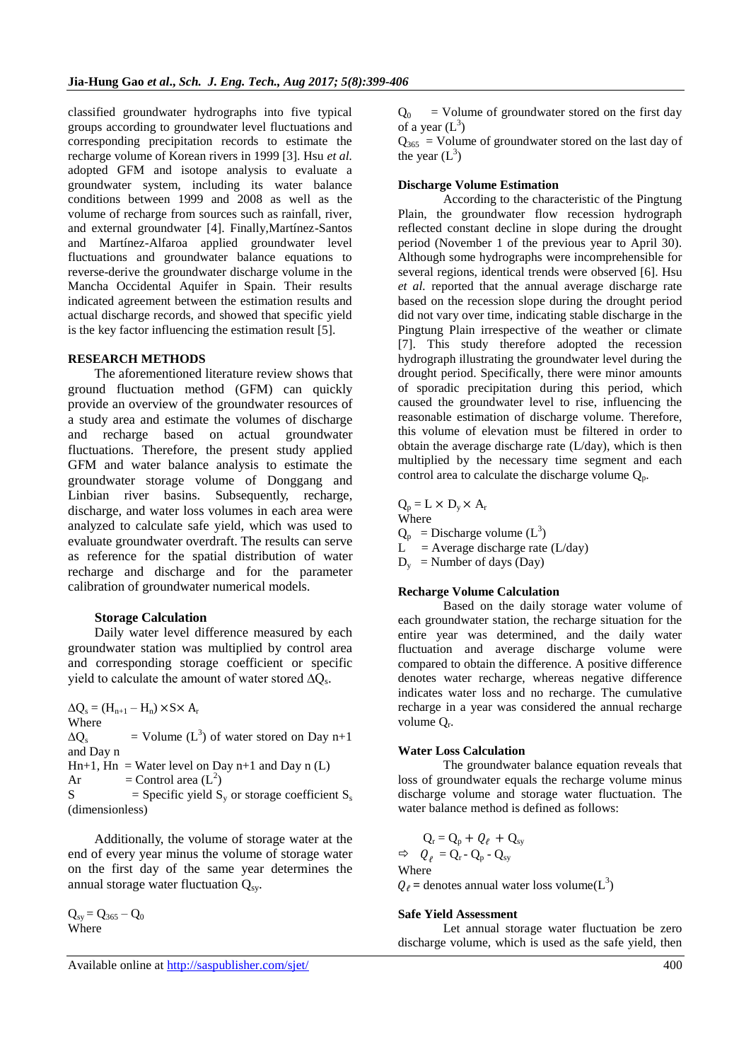classified groundwater hydrographs into five typical groups according to groundwater level fluctuations and corresponding precipitation records to estimate the recharge volume of Korean rivers in 1999 [3]. Hsu *et al.* adopted GFM and isotope analysis to evaluate a groundwater system, including its water balance conditions between 1999 and 2008 as well as the volume of recharge from sources such as rainfall, river, and external groundwater [4]. Finally,Martínez-Santos and Martínez-Alfaroa applied groundwater level fluctuations and groundwater balance equations to reverse-derive the groundwater discharge volume in the Mancha Occidental Aquifer in Spain. Their results indicated agreement between the estimation results and actual discharge records, and showed that specific yield is the key factor influencing the estimation result [5].

### **RESEARCH METHODS**

The aforementioned literature review shows that ground fluctuation method (GFM) can quickly provide an overview of the groundwater resources of a study area and estimate the volumes of discharge and recharge based on actual groundwater fluctuations. Therefore, the present study applied GFM and water balance analysis to estimate the groundwater storage volume of Donggang and Linbian river basins. Subsequently, recharge, discharge, and water loss volumes in each area were analyzed to calculate safe yield, which was used to evaluate groundwater overdraft. The results can serve as reference for the spatial distribution of water recharge and discharge and for the parameter calibration of groundwater numerical models.

#### **Storage Calculation**

Daily water level difference measured by each groundwater station was multiplied by control area and corresponding storage coefficient or specific yield to calculate the amount of water stored  $\Delta Q_s$ .

 $\Delta Q_s = (H_{n+1} - H_n) \times S \times A_r$ Where  $\Delta Q_s$  $=$  Volume (L<sup>3</sup>) of water stored on Day n+1 and Day n  $Hn+1$ ,  $Hn = Water level on Day n+1$  and Day n (L) Ar  $=$  Control area  $(L^2)$  $S =$  Specific yield  $S_v$  or storage coefficient  $S_s$ (dimensionless)

Additionally, the volume of storage water at the end of every year minus the volume of storage water on the first day of the same year determines the annual storage water fluctuation  $Q_{sv}$ .

 $Q_{sy} = Q_{365} - Q_0$ Where

 $Q_0$  = Volume of groundwater stored on the first day of a year  $(L^3)$ 

 $Q_{365}$  = Volume of groundwater stored on the last day of the year  $(L^3)$ 

## **Discharge Volume Estimation**

According to the characteristic of the Pingtung Plain, the groundwater flow recession hydrograph reflected constant decline in slope during the drought period (November 1 of the previous year to April 30). Although some hydrographs were incomprehensible for several regions, identical trends were observed [6]. Hsu *et al.* reported that the annual average discharge rate based on the recession slope during the drought period did not vary over time, indicating stable discharge in the Pingtung Plain irrespective of the weather or climate [7]. This study therefore adopted the recession hydrograph illustrating the groundwater level during the drought period. Specifically, there were minor amounts of sporadic precipitation during this period, which caused the groundwater level to rise, influencing the reasonable estimation of discharge volume. Therefore, this volume of elevation must be filtered in order to obtain the average discharge rate (L/day), which is then multiplied by the necessary time segment and each control area to calculate the discharge volume  $Q_p$ .

 $Q_p = L \times D_v \times A_r$ Where

 $Q_p$  = Discharge volume  $(L^3)$ 

 $L^{\dagger}$  = Average discharge rate (L/day)

 $D_y$  = Number of days (Day)

## **Recharge Volume Calculation**

Based on the daily storage water volume of each groundwater station, the recharge situation for the entire year was determined, and the daily water fluctuation and average discharge volume were compared to obtain the difference. A positive difference denotes water recharge, whereas negative difference indicates water loss and no recharge. The cumulative recharge in a year was considered the annual recharge volume Q<sub>r</sub>.

## **Water Loss Calculation**

The groundwater balance equation reveals that loss of groundwater equals the recharge volume minus discharge volume and storage water fluctuation. The water balance method is defined as follows:

$$
Q_{r} = Q_{p} + Q_{\ell} + Q_{sy}
$$
  
\n
$$
\Rightarrow Q_{\ell} = Q_{r} - Q_{p} - Q_{sy}
$$
  
\nWhere  
\n
$$
Q_{\ell} = \text{denotes annual water loss volume}(L^{3})
$$

#### **Safe Yield Assessment**

Let annual storage water fluctuation be zero discharge volume, which is used as the safe yield, then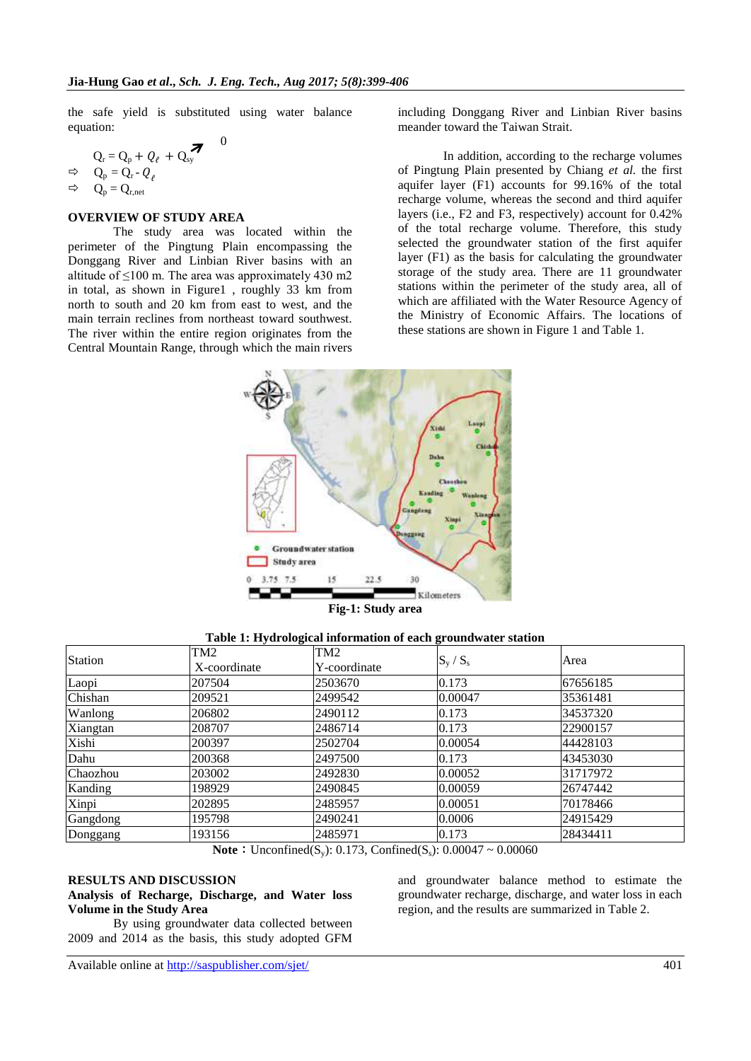the safe yield is substituted using water balance equation:

 $\theta$ 

$$
Q_{r} = Q_{p} + Q_{\ell} + Q_{sy} \rightarrow Q_{p} = Q_{r} - Q_{\ell}
$$
  
\n
$$
\Rightarrow Q_{p} = Q_{r,net}
$$

### **OVERVIEW OF STUDY AREA**

The study area was located within the perimeter of the Pingtung Plain encompassing the Donggang River and Linbian River basins with an altitude of  $\leq 100$  m. The area was approximately 430 m2 in total, as shown in Figure1 , roughly 33 km from north to south and 20 km from east to west, and the main terrain reclines from northeast toward southwest. The river within the entire region originates from the Central Mountain Range, through which the main rivers

including Donggang River and Linbian River basins meander toward the Taiwan Strait.

In addition, according to the recharge volumes of Pingtung Plain presented by Chiang *et al.* the first aquifer layer (F1) accounts for 99.16% of the total recharge volume, whereas the second and third aquifer layers (i.e., F2 and F3, respectively) account for 0.42% of the total recharge volume. Therefore, this study selected the groundwater station of the first aquifer layer (F1) as the basis for calculating the groundwater storage of the study area. There are 11 groundwater stations within the perimeter of the study area, all of which are affiliated with the Water Resource Agency of the Ministry of Economic Affairs. The locations of these stations are shown in Figure 1 and Table 1.



**Fig-1: Study area**

| <b>Station</b> | TM2<br>X-coordinate | TM2<br>Y-coordinate | $S_{v}$ / $S_{s}$ | Area     |
|----------------|---------------------|---------------------|-------------------|----------|
| Laopi          | 207504              | 2503670             | 0.173             | 67656185 |
| Chishan        | 209521              | 2499542             | 0.00047           | 35361481 |
| Wanlong        | 206802              | 2490112             | 0.173             | 34537320 |
| Xiangtan       | 208707              | 2486714             | 0.173             | 22900157 |
| Xishi          | 200397              | 2502704             | 0.00054           | 44428103 |
| Dahu           | 200368              | 2497500             | 0.173             | 43453030 |
| Chaozhou       | 203002              | 2492830             | 0.00052           | 31717972 |
| Kanding        | 198929              | 2490845             | 0.00059           | 26747442 |
| Xinpi          | 202895              | 2485957             | 0.00051           | 70178466 |
| Gangdong       | 195798              | 2490241             | 0.0006            | 24915429 |
| Donggang       | 193156              | 2485971             | 0.173             | 28434411 |

**Note**: Unconfined(S<sub>y</sub>): 0.173, Confined(S<sub>s</sub>): 0.00047 ~ 0.00060

### **RESULTS AND DISCUSSION**

**Analysis of Recharge, Discharge, and Water loss Volume in the Study Area**

By using groundwater data collected between 2009 and 2014 as the basis, this study adopted GFM

and groundwater balance method to estimate the groundwater recharge, discharge, and water loss in each region, and the results are summarized in Table 2.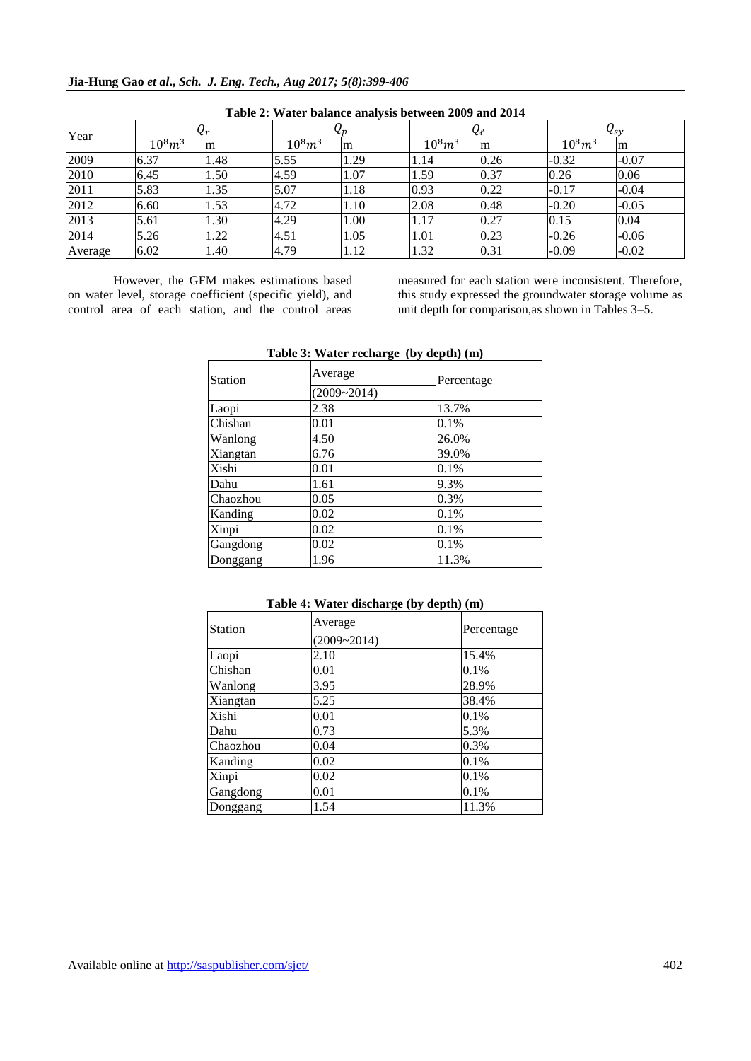| Year    | Чr             |     | Чp             |      | Ųę             |      | $\mathsf{V}_{\mathcal{SV}}$ |         |
|---------|----------------|-----|----------------|------|----------------|------|-----------------------------|---------|
|         | $10^{8} m^{3}$ | m   | $10^{8} m^{3}$ | m    | $10^{8} m^{3}$ | m    | $10^{8} m^{3}$              | m       |
| 2009    | 6.37           | .48 | 5.55           | 1.29 | 1.14           | 0.26 | $-0.32$                     | $-0.07$ |
| 2010    | 6.45           | .50 | 4.59           | 1.07 | 1.59           | 0.37 | 0.26                        | 0.06    |
| 2011    | 5.83           | .35 | 5.07           | 1.18 | 0.93           | 0.22 | $-0.17$                     | $-0.04$ |
| 2012    | 6.60           | .53 | 4.72           | 1.10 | 2.08           | 0.48 | $-0.20$                     | $-0.05$ |
| 2013    | 5.61           | .30 | 4.29           | 1.00 | 1.17           | 0.27 | 0.15                        | 0.04    |
| 2014    | 5.26           | .22 | 4.51           | 1.05 | 1.01           | 0.23 | $-0.26$                     | $-0.06$ |
| Average | 6.02           | .40 | 4.79           | 1.12 | 1.32           | 0.31 | $-0.09$                     | $-0.02$ |

**Table 2: Water balance analysis between 2009 and 2014**

However, the GFM makes estimations based on water level, storage coefficient (specific yield), and control area of each station, and the control areas measured for each station were inconsistent. Therefore, this study expressed the groundwater storage volume as unit depth for comparison,as shown in Tables 3–5.

| <b>Station</b> | Average         | Percentage |
|----------------|-----------------|------------|
|                | $(2009 - 2014)$ |            |
| Laopi          | 2.38            | 13.7%      |
| Chishan        | 0.01            | 0.1%       |
| Wanlong        | 4.50            | 26.0%      |
| Xiangtan       | 6.76            | 39.0%      |
| Xishi          | 0.01            | 0.1%       |
| Dahu           | 1.61            | 9.3%       |
| Chaozhou       | 0.05            | 0.3%       |
| Kanding        | 0.02            | 0.1%       |
| Xinpi          | 0.02            | 0.1%       |
| Gangdong       | 0.02            | 0.1%       |
| Donggang       | 1.96            | 11.3%      |

**Table 3: Water recharge (by depth) (m)**

|  |  | Table 4: Water discharge (by depth) (m) |  |  |  |
|--|--|-----------------------------------------|--|--|--|
|--|--|-----------------------------------------|--|--|--|

| <b>Station</b> | Average<br>$(2009 - 2014)$ | Percentage |
|----------------|----------------------------|------------|
| Laopi          | 2.10                       | 15.4%      |
| Chishan        | 0.01                       | 0.1%       |
| Wanlong        | 3.95                       | 28.9%      |
| Xiangtan       | 5.25                       | 38.4%      |
| Xishi          | 0.01                       | 0.1%       |
| Dahu           | 0.73                       | 5.3%       |
| Chaozhou       | 0.04                       | 0.3%       |
| Kanding        | 0.02                       | 0.1%       |
| Xinpi          | 0.02                       | 0.1%       |
| Gangdong       | 0.01                       | 0.1%       |
| Donggang       | 1.54                       | 11.3%      |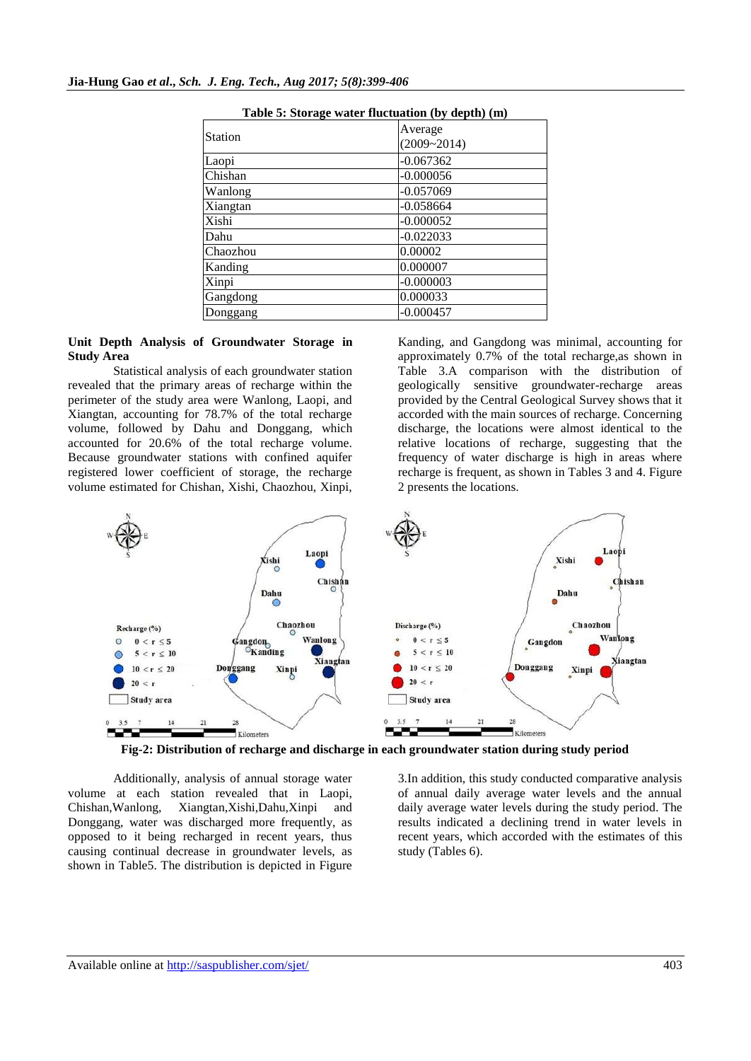| Station  | Average<br>$(2009 - 2014)$ |
|----------|----------------------------|
| Laopi    | $-0.067362$                |
| Chishan  | $-0.000056$                |
| Wanlong  | $-0.057069$                |
| Xiangtan | $-0.058664$                |
| Xishi    | $-0.000052$                |
| Dahu     | $-0.022033$                |
| Chaozhou | 0.00002                    |
| Kanding  | 0.000007                   |
| Xinpi    | $-0.000003$                |
| Gangdong | 0.000033                   |
| Donggang | $-0.000457$                |
|          |                            |

**Table 5: Storage water fluctuation (by depth) (m)**

## **Unit Depth Analysis of Groundwater Storage in Study Area**

Statistical analysis of each groundwater station revealed that the primary areas of recharge within the perimeter of the study area were Wanlong, Laopi, and Xiangtan, accounting for 78.7% of the total recharge volume, followed by Dahu and Donggang, which accounted for 20.6% of the total recharge volume. Because groundwater stations with confined aquifer registered lower coefficient of storage, the recharge volume estimated for Chishan, Xishi, Chaozhou, Xinpi,

Kanding, and Gangdong was minimal, accounting for approximately 0.7% of the total recharge,as shown in Table 3.A comparison with the distribution of geologically sensitive groundwater-recharge areas provided by the Central Geological Survey shows that it accorded with the main sources of recharge. Concerning discharge, the locations were almost identical to the relative locations of recharge, suggesting that the frequency of water discharge is high in areas where recharge is frequent, as shown in Tables 3 and 4. Figure 2 presents the locations.





Additionally, analysis of annual storage water volume at each station revealed that in Laopi, Xiangtan,Xishi,Dahu,Xinpi and Donggang, water was discharged more frequently, as opposed to it being recharged in recent years, thus causing continual decrease in groundwater levels, as shown in Table5. The distribution is depicted in Figure 3.In addition, this study conducted comparative analysis of annual daily average water levels and the annual daily average water levels during the study period. The results indicated a declining trend in water levels in recent years, which accorded with the estimates of this study (Tables 6).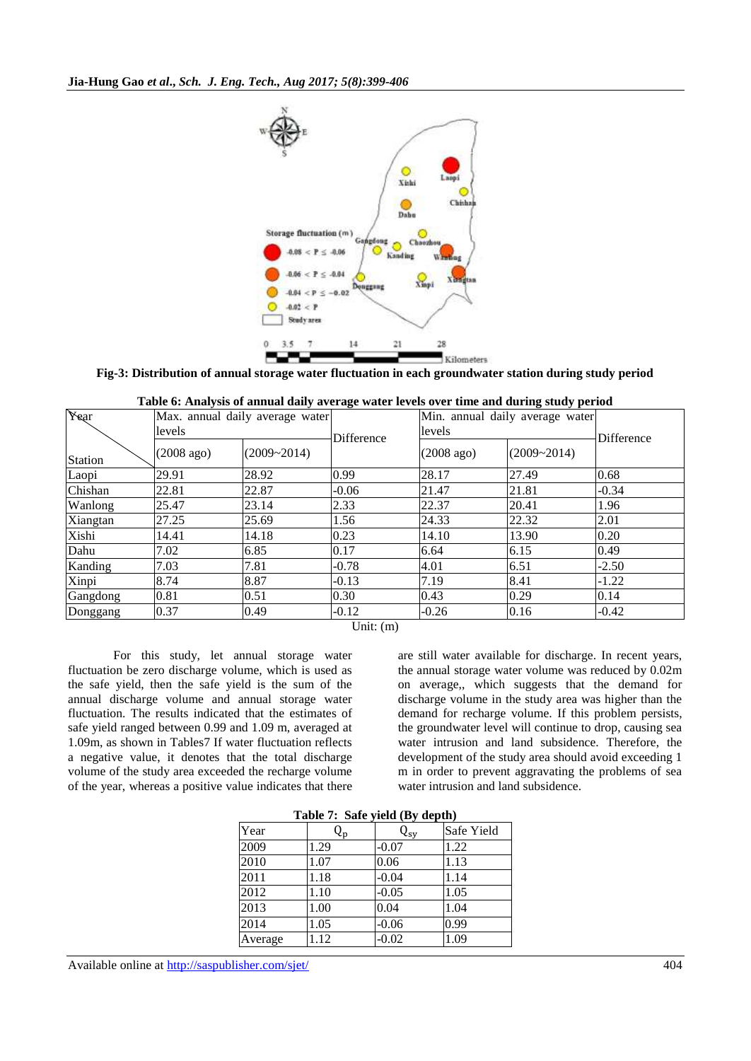

**Fig-3: Distribution of annual storage water fluctuation in each groundwater station during study period**

|                |                      | Table 0. Analysis of annual dany average water levels over time and during study perfou |                           |                      |                                 |                   |  |
|----------------|----------------------|-----------------------------------------------------------------------------------------|---------------------------|----------------------|---------------------------------|-------------------|--|
| Year           |                      | Max. annual daily average water                                                         |                           |                      | Min. annual daily average water |                   |  |
|                | levels               |                                                                                         | Difference                | levels               |                                 |                   |  |
| <b>Station</b> | $(2008 \text{ ago})$ | $(2009 - 2014)$                                                                         |                           | $(2008 \text{ ago})$ | $(2009 - 2014)$                 | <b>Difference</b> |  |
| Laopi          | 29.91                | 28.92                                                                                   | 0.99                      | 28.17                | 27.49                           | 0.68              |  |
| Chishan        | 22.81                | 22.87                                                                                   | $-0.06$                   | 21.47                | 21.81                           | $-0.34$           |  |
| Wanlong        | 25.47                | 23.14                                                                                   | 2.33                      | 22.37                | 20.41                           | 1.96              |  |
| Xiangtan       | 27.25                | 25.69                                                                                   | 1.56                      | 24.33                | 22.32                           | 2.01              |  |
| Xishi          | 14.41                | 14.18                                                                                   | 0.23                      | 14.10                | 13.90                           | 0.20              |  |
| Dahu           | 7.02                 | 6.85                                                                                    | 0.17                      | 6.64                 | 6.15                            | 0.49              |  |
| Kanding        | 7.03                 | 7.81                                                                                    | $-0.78$                   | 4.01                 | 6.51                            | $-2.50$           |  |
| Xinpi          | 8.74                 | 8.87                                                                                    | $-0.13$                   | 7.19                 | 8.41                            | $-1.22$           |  |
| Gangdong       | 0.81                 | 0.51                                                                                    | 0.30                      | 0.43                 | 0.29                            | 0.14              |  |
| Donggang       | 0.37                 | 0.49                                                                                    | $-0.12$                   | $-0.26$              | 0.16                            | $-0.42$           |  |
|                |                      |                                                                                         | $\text{Init}(\mathsf{m})$ |                      |                                 |                   |  |

| Table 6: Analysis of annual daily average water levels over time and during study period |  |  |
|------------------------------------------------------------------------------------------|--|--|
|------------------------------------------------------------------------------------------|--|--|

Unit: (m)

For this study, let annual storage water fluctuation be zero discharge volume, which is used as the safe yield, then the safe yield is the sum of the annual discharge volume and annual storage water fluctuation. The results indicated that the estimates of safe yield ranged between 0.99 and 1.09 m, averaged at 1.09m, as shown in Tables7 If water fluctuation reflects a negative value, it denotes that the total discharge volume of the study area exceeded the recharge volume of the year, whereas a positive value indicates that there

are still water available for discharge. In recent years, the annual storage water volume was reduced by 0.02m on average,, which suggests that the demand for discharge volume in the study area was higher than the demand for recharge volume. If this problem persists, the groundwater level will continue to drop, causing sea water intrusion and land subsidence. Therefore, the development of the study area should avoid exceeding 1 m in order to prevent aggravating the problems of sea water intrusion and land subsidence.

|         | 1.54 |                    |            |  |  |  |  |  |
|---------|------|--------------------|------------|--|--|--|--|--|
| Year    | ₹p   | $\rm{Q}_{\rm{sy}}$ | Safe Yield |  |  |  |  |  |
| 2009    | 1.29 | $-0.07$            | 1.22       |  |  |  |  |  |
| 2010    | 1.07 | 0.06               | 1.13       |  |  |  |  |  |
| 2011    | 1.18 | $-0.04$            | 1.14       |  |  |  |  |  |
| 2012    | 1.10 | $-0.05$            | 1.05       |  |  |  |  |  |
| 2013    | 1.00 | 0.04               | 1.04       |  |  |  |  |  |
| 2014    | 1.05 | $-0.06$            | 0.99       |  |  |  |  |  |
| Average | 1.12 | $-0.02$            | 1.09       |  |  |  |  |  |

**Table 7: Safe yield (By depth)**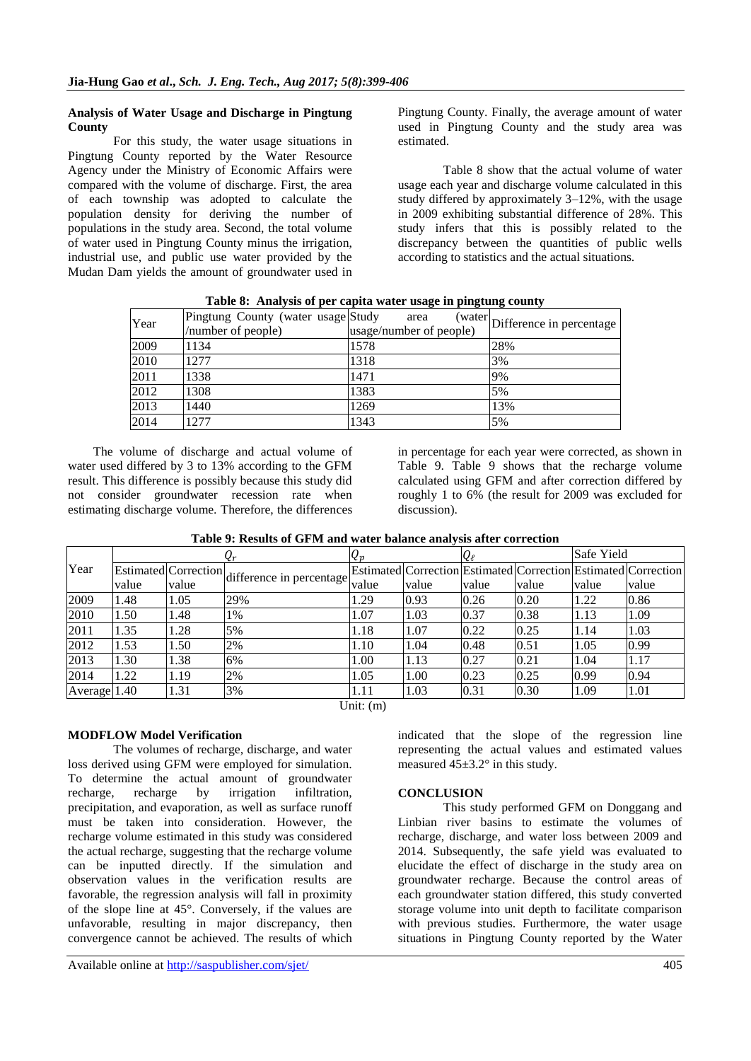## **Analysis of Water Usage and Discharge in Pingtung County**

For this study, the water usage situations in Pingtung County reported by the Water Resource Agency under the Ministry of Economic Affairs were compared with the volume of discharge. First, the area of each township was adopted to calculate the population density for deriving the number of populations in the study area. Second, the total volume of water used in Pingtung County minus the irrigation, industrial use, and public use water provided by the Mudan Dam yields the amount of groundwater used in Pingtung County. Finally, the average amount of water used in Pingtung County and the study area was estimated.

Table 8 show that the actual volume of water usage each year and discharge volume calculated in this study differed by approximately 3–12%, with the usage in 2009 exhibiting substantial difference of 28%. This study infers that this is possibly related to the discrepancy between the quantities of public wells according to statistics and the actual situations.

| Year | Pingtung County (water usage Study<br>/number of people) | area<br>usage/number of people) | $\left(\text{water}\right)$ Difference in percentage |  |  |  |  |  |
|------|----------------------------------------------------------|---------------------------------|------------------------------------------------------|--|--|--|--|--|
| 2009 | 1134                                                     | 1578                            | 28%                                                  |  |  |  |  |  |
| 2010 | 1277                                                     | 1318                            | 3%                                                   |  |  |  |  |  |
| 2011 | 1338                                                     | 1471                            | 9%                                                   |  |  |  |  |  |
| 2012 | 1308                                                     | 1383                            | 5%                                                   |  |  |  |  |  |
| 2013 | 1440                                                     | 1269                            | 13%                                                  |  |  |  |  |  |
| 2014 | 1277                                                     | 1343                            | 5%                                                   |  |  |  |  |  |

**Table 8: Analysis of per capita water usage in pingtung county**

The volume of discharge and actual volume of water used differed by 3 to 13% according to the GFM result. This difference is possibly because this study did not consider groundwater recession rate when estimating discharge volume. Therefore, the differences

in percentage for each year were corrected, as shown in Table 9. Table 9 shows that the recharge volume calculated using GFM and after correction differed by roughly 1 to 6% (the result for 2009 was excluded for discussion).

|              | Tuon / , Tuonno of Of In und water buildied unuffold ufter coffeeion |               |                                               |             |       |       |       |            |                                                                |
|--------------|----------------------------------------------------------------------|---------------|-----------------------------------------------|-------------|-------|-------|-------|------------|----------------------------------------------------------------|
|              |                                                                      | $\varrho_{r}$ |                                               | $Q_p$       |       | Qe    |       | Safe Yield |                                                                |
| Year         |                                                                      |               | Estimated Correction difference in percentage |             |       |       |       |            | Estimated Correction Estimated Correction Estimated Correction |
|              | value                                                                | value         |                                               | value       | value | value | value | value      | value                                                          |
| 2009         | 1.48                                                                 | 1.05          | 29%                                           | 1.29        | 0.93  | 0.26  | 0.20  | 1.22       | 0.86                                                           |
| 2010         | 1.50                                                                 | 1.48          | 1%                                            | 1.07        | 1.03  | 0.37  | 0.38  | 1.13       | 1.09                                                           |
| 2011         | 1.35                                                                 | .28           | 5%                                            | 1.18        | 1.07  | 0.22  | 0.25  | 1.14       | 1.03                                                           |
| 2012         | 1.53                                                                 | .50           | 2%                                            | 1.10        | 1.04  | 0.48  | 0.51  | 1.05       | 0.99                                                           |
| 2013         | 1.30                                                                 | 1.38          | 6%                                            | 1.00        | 1.13  | 0.27  | 0.21  | 1.04       | 1.17                                                           |
| 2014         | 1.22                                                                 | 1.19          | 2%                                            | 1.05        | 1.00  | 0.23  | 0.25  | 0.99       | 0.94                                                           |
| Average 1.40 |                                                                      | 1.31          | 3%                                            | 1.11        | 1.03  | 0.31  | 0.30  | 1.09       | 1.01                                                           |
|              |                                                                      |               |                                               | Unit: $(m)$ |       |       |       |            |                                                                |

**Table 9: Results of GFM and water balance analysis after correction**

## **MODFLOW Model Verification**

The volumes of recharge, discharge, and water loss derived using GFM were employed for simulation. To determine the actual amount of groundwater recharge, recharge by irrigation infiltration, precipitation, and evaporation, as well as surface runoff must be taken into consideration. However, the recharge volume estimated in this study was considered the actual recharge, suggesting that the recharge volume can be inputted directly. If the simulation and observation values in the verification results are favorable, the regression analysis will fall in proximity of the slope line at 45°. Conversely, if the values are unfavorable, resulting in major discrepancy, then convergence cannot be achieved. The results of which

indicated that the slope of the regression line representing the actual values and estimated values measured  $45\pm3.2^{\circ}$  in this study.

## **CONCLUSION**

This study performed GFM on Donggang and Linbian river basins to estimate the volumes of recharge, discharge, and water loss between 2009 and 2014. Subsequently, the safe yield was evaluated to elucidate the effect of discharge in the study area on groundwater recharge. Because the control areas of each groundwater station differed, this study converted storage volume into unit depth to facilitate comparison with previous studies. Furthermore, the water usage situations in Pingtung County reported by the Water